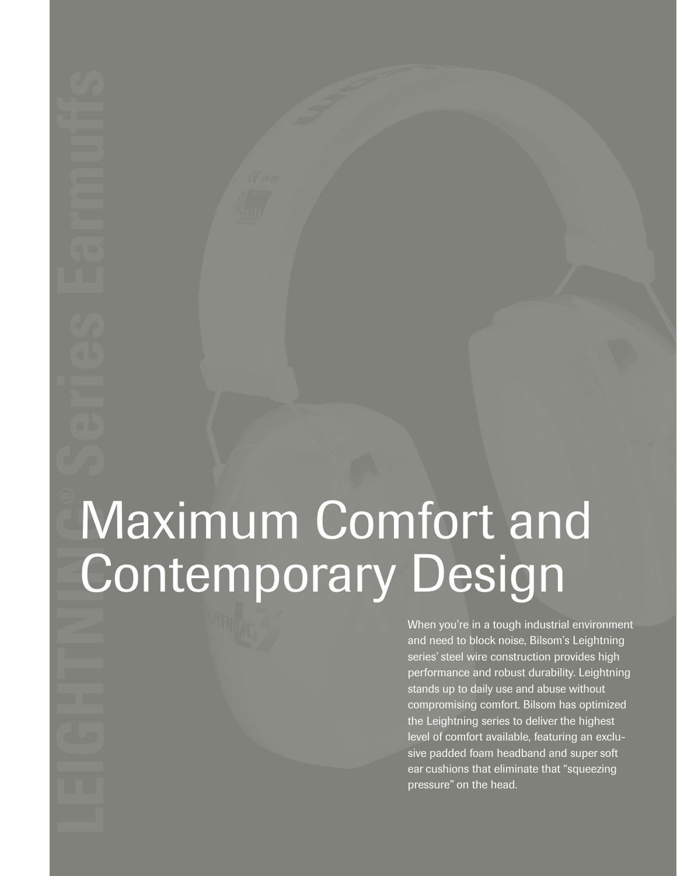# Maximum Comfort and Contemporary Design

When you're in a tough industrial environment and need to block noise, Bilsom's Leightning series' steel wire construction provides high performance and robust durability. Leightning stands up to daily use and abuse without compromising comfort. Bilsom has optimized the Leightning series to deliver the highest level of comfort available, featuring an exclusive padded foam headband and super soft ear cushions that eliminate that "squeezing pressure" on the head.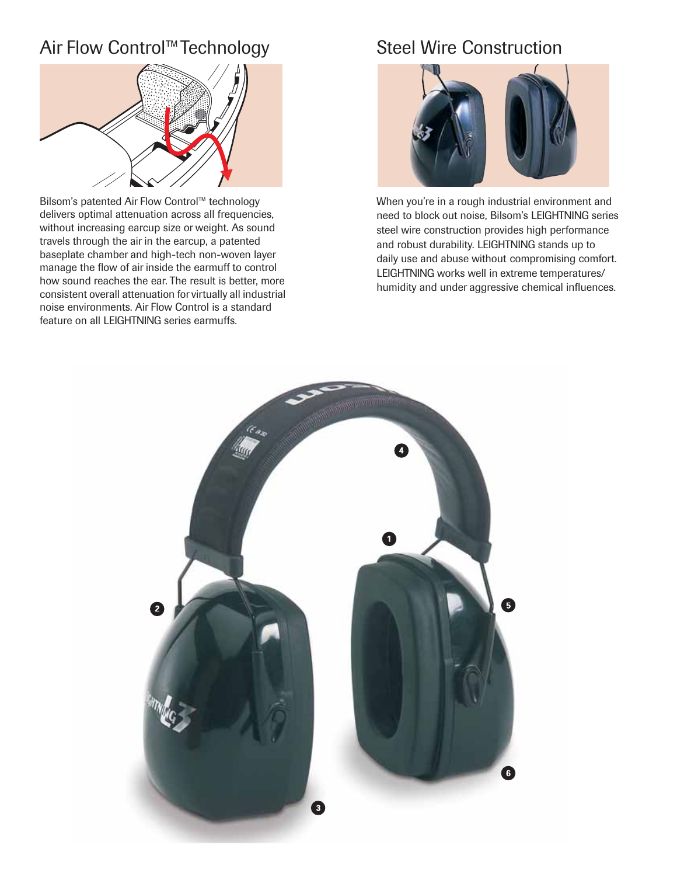## Air Flow Control™Technology Steel Wire Construction



Bilsom's patented Air Flow Control™ technology delivers optimal attenuation across all frequencies, without increasing earcup size or weight. As sound travels through the air in the earcup, a patented baseplate chamber and high-tech non-woven layer manage the flow of air inside the earmuff to control how sound reaches the ear. The result is better, more consistent overall attenuation for virtually all industrial noise environments. Air Flow Control is a standard feature on all LEIGHTNING series earmuffs.



When you're in a rough industrial environment and need to block out noise, Bilsom's LEIGHTNING series steel wire construction provides high performance and robust durability. LEIGHTNING stands up to daily use and abuse without compromising comfort. LEIGHTNING works well in extreme temperatures/ humidity and under aggressive chemical influences.

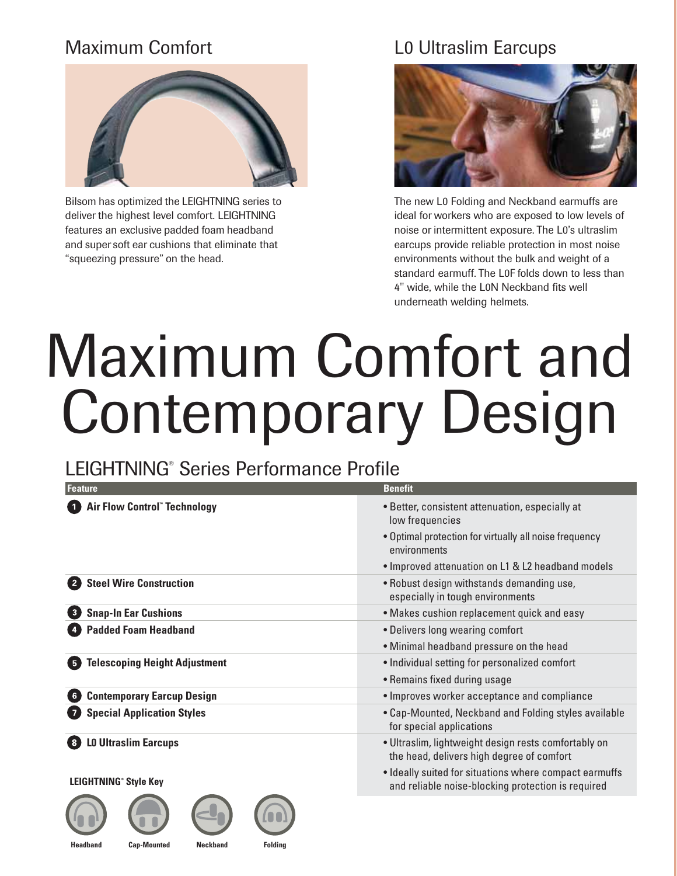# Maximum Comfort



Bilsom has optimized the LEIGHTNING series to deliver the highest level comfort. LEIGHTNING features an exclusive padded foam headband and super soft ear cushions that eliminate that "squeezing pressure" on the head.

## L0 Ultraslim Earcups



The new L0 Folding and Neckband earmuffs are ideal for workers who are exposed to low levels of noise or intermittent exposure. The L0's ultraslim earcups provide reliable protection in most noise environments without the bulk and weight of a standard earmuff. The L0F folds down to less than 4" wide, while the L0N Neckband fits well underneath welding helmets.

# Maximum Comfort and Contemporary Design

# LEIGHTNING® Series Performance Profile

| Feature                                                | <b>Benefit</b>                                                                                               |  |  |  |  |
|--------------------------------------------------------|--------------------------------------------------------------------------------------------------------------|--|--|--|--|
| <b>Air Flow Control" Technology</b>                    | • Better, consistent attenuation, especially at<br>low frequencies                                           |  |  |  |  |
|                                                        | . Optimal protection for virtually all noise frequency<br>environments                                       |  |  |  |  |
|                                                        | • Improved attenuation on L1 & L2 headband models                                                            |  |  |  |  |
| <b>Steel Wire Construction</b>                         | . Robust design withstands demanding use,<br>especially in tough environments                                |  |  |  |  |
| <b>Snap-In Ear Cushions</b><br>$\mathbf{3}$            | • Makes cushion replacement quick and easy                                                                   |  |  |  |  |
| <b>Padded Foam Headband</b>                            | • Delivers long wearing comfort                                                                              |  |  |  |  |
|                                                        | • Minimal headband pressure on the head                                                                      |  |  |  |  |
| <b>Telescoping Height Adjustment</b><br>5 <sup>5</sup> | • Individual setting for personalized comfort                                                                |  |  |  |  |
|                                                        | • Remains fixed during usage                                                                                 |  |  |  |  |
| <b>Contemporary Earcup Design</b><br>6 <sup>1</sup>    | • Improves worker acceptance and compliance                                                                  |  |  |  |  |
| <b>Special Application Styles</b>                      | • Cap-Mounted, Neckband and Folding styles available<br>for special applications                             |  |  |  |  |
| <b>LO Ultraslim Earcups</b>                            | · Ultraslim, lightweight design rests comfortably on<br>the head, delivers high degree of comfort            |  |  |  |  |
| <b>LEIGHTNING® Style Key</b>                           | • Ideally suited for situations where compact earmuffs<br>and reliable noise-blocking protection is required |  |  |  |  |
|                                                        |                                                                                                              |  |  |  |  |









**Headband Cap-Mounted Neckband Folding**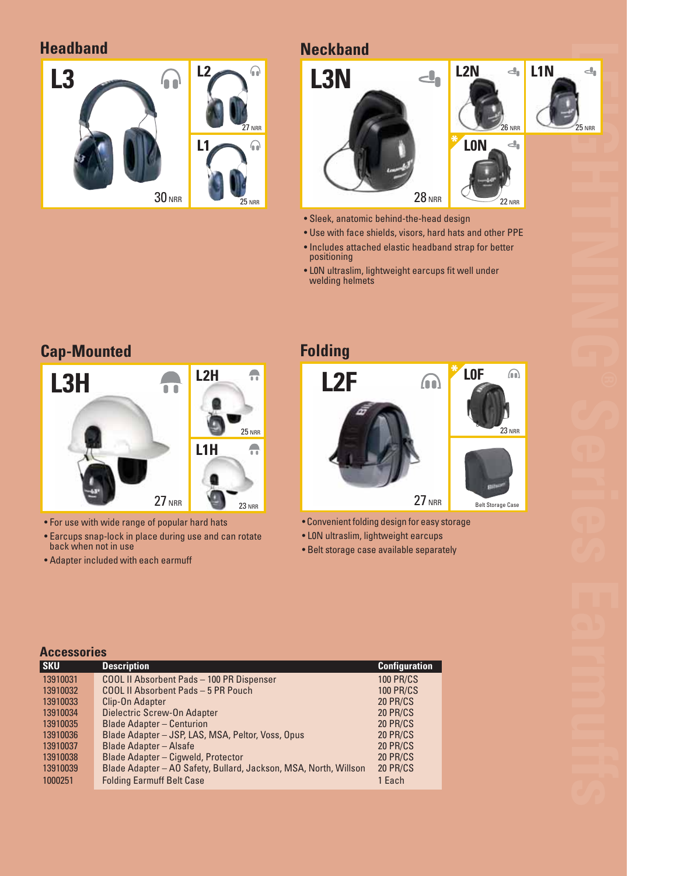**Headband**



### **Neckband**



- Sleek, anatomic behind-the-head design
- Use with face shields, visors, hard hats and other PPE
- Includes attached elastic headband strap for better positioning
- L0N ultraslim, lightweight earcups fit well under welding helmets



- For use with wide range of popular hard hats
- Earcups snap-lock in place during use and can rotate back when not in use
- Adapter included with each earmuff



- Convenient folding design for easy storage
- L0N ultraslim, lightweight earcups
- Belt storage case available separately

| <b>Accessories</b> |                                                                  |                      |  |  |  |  |  |
|--------------------|------------------------------------------------------------------|----------------------|--|--|--|--|--|
| <b>SKU</b>         | <b>Description</b>                                               | <b>Configuration</b> |  |  |  |  |  |
| 13910031           | <b>COOL II Absorbent Pads - 100 PR Dispenser</b>                 | <b>100 PR/CS</b>     |  |  |  |  |  |
| 13910032           | COOL II Absorbent Pads - 5 PR Pouch                              | <b>100 PR/CS</b>     |  |  |  |  |  |
| 13910033           | Clip-On Adapter                                                  | <b>20 PR/CS</b>      |  |  |  |  |  |
| 13910034           | Dielectric Screw-On Adapter                                      | <b>20 PR/CS</b>      |  |  |  |  |  |
| 13910035           | <b>Blade Adapter - Centurion</b>                                 | <b>20 PR/CS</b>      |  |  |  |  |  |
| 13910036           | Blade Adapter - JSP, LAS, MSA, Peltor, Voss, Opus                | <b>20 PR/CS</b>      |  |  |  |  |  |
| 13910037           | <b>Blade Adapter - Alsafe</b>                                    | <b>20 PR/CS</b>      |  |  |  |  |  |
| 13910038           | Blade Adapter - Cigweld, Protector                               | <b>20 PR/CS</b>      |  |  |  |  |  |
| 13910039           | Blade Adapter - AO Safety, Bullard, Jackson, MSA, North, Willson | 20 PR/CS             |  |  |  |  |  |
| 1000251            | <b>Folding Earmuff Belt Case</b>                                 | 1 Each               |  |  |  |  |  |